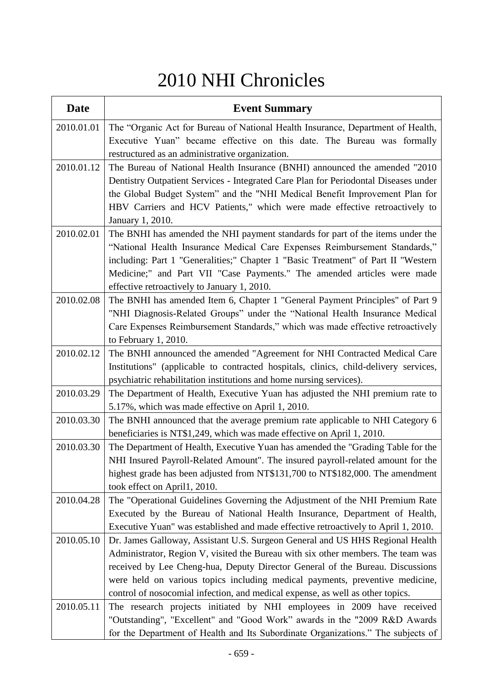## 2010 NHI Chronicles

| <b>Date</b> | <b>Event Summary</b>                                                                                                                                                |
|-------------|---------------------------------------------------------------------------------------------------------------------------------------------------------------------|
| 2010.01.01  | The "Organic Act for Bureau of National Health Insurance, Department of Health,                                                                                     |
|             | Executive Yuan" became effective on this date. The Bureau was formally                                                                                              |
|             | restructured as an administrative organization.                                                                                                                     |
| 2010.01.12  | The Bureau of National Health Insurance (BNHI) announced the amended "2010                                                                                          |
|             | Dentistry Outpatient Services - Integrated Care Plan for Periodontal Diseases under                                                                                 |
|             | the Global Budget System" and the "NHI Medical Benefit Improvement Plan for                                                                                         |
|             | HBV Carriers and HCV Patients," which were made effective retroactively to                                                                                          |
|             | January 1, 2010.                                                                                                                                                    |
| 2010.02.01  | The BNHI has amended the NHI payment standards for part of the items under the                                                                                      |
|             | "National Health Insurance Medical Care Expenses Reimbursement Standards,"                                                                                          |
|             | including: Part 1 "Generalities;" Chapter 1 "Basic Treatment" of Part II "Western                                                                                   |
|             | Medicine;" and Part VII "Case Payments." The amended articles were made                                                                                             |
| 2010.02.08  | effective retroactively to January 1, 2010.<br>The BNHI has amended Item 6, Chapter 1 "General Payment Principles" of Part 9                                        |
|             | "NHI Diagnosis-Related Groups" under the "National Health Insurance Medical                                                                                         |
|             | Care Expenses Reimbursement Standards," which was made effective retroactively                                                                                      |
|             | to February $1, 2010$ .                                                                                                                                             |
| 2010.02.12  | The BNHI announced the amended "Agreement for NHI Contracted Medical Care                                                                                           |
|             | Institutions" (applicable to contracted hospitals, clinics, child-delivery services,                                                                                |
|             | psychiatric rehabilitation institutions and home nursing services).                                                                                                 |
| 2010.03.29  | The Department of Health, Executive Yuan has adjusted the NHI premium rate to                                                                                       |
|             | 5.17%, which was made effective on April 1, 2010.                                                                                                                   |
| 2010.03.30  | The BNHI announced that the average premium rate applicable to NHI Category 6                                                                                       |
|             | beneficiaries is NT\$1,249, which was made effective on April 1, 2010.                                                                                              |
| 2010.03.30  | The Department of Health, Executive Yuan has amended the "Grading Table for the                                                                                     |
|             | NHI Insured Payroll-Related Amount". The insured payroll-related amount for the                                                                                     |
|             | highest grade has been adjusted from NT\$131,700 to NT\$182,000. The amendment                                                                                      |
|             | took effect on April1, 2010.                                                                                                                                        |
| 2010.04.28  | The "Operational Guidelines Governing the Adjustment of the NHI Premium Rate                                                                                        |
|             | Executed by the Bureau of National Health Insurance, Department of Health,                                                                                          |
| 2010.05.10  | Executive Yuan" was established and made effective retroactively to April 1, 2010.<br>Dr. James Galloway, Assistant U.S. Surgeon General and US HHS Regional Health |
|             | Administrator, Region V, visited the Bureau with six other members. The team was                                                                                    |
|             | received by Lee Cheng-hua, Deputy Director General of the Bureau. Discussions                                                                                       |
|             | were held on various topics including medical payments, preventive medicine,                                                                                        |
|             | control of nosocomial infection, and medical expense, as well as other topics.                                                                                      |
| 2010.05.11  | The research projects initiated by NHI employees in 2009 have received                                                                                              |
|             | "Outstanding", "Excellent" and "Good Work" awards in the "2009 R&D Awards                                                                                           |
|             | for the Department of Health and Its Subordinate Organizations." The subjects of                                                                                    |